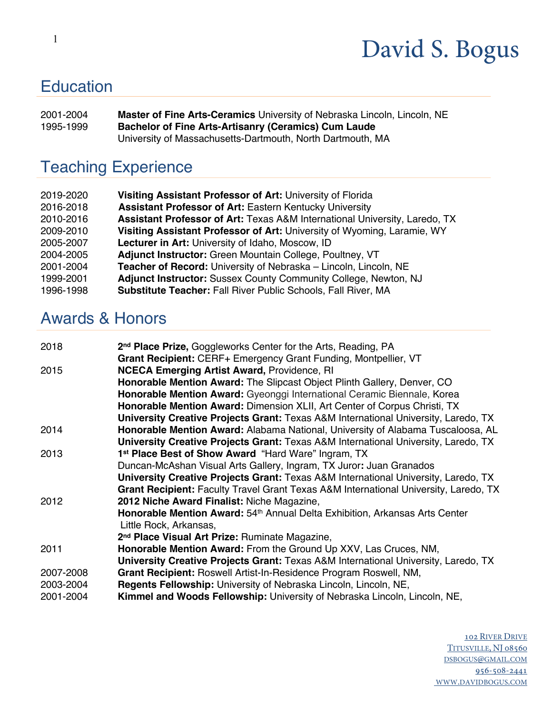### **Education**

2001-2004 **Master of Fine Arts-Ceramics** University of Nebraska Lincoln, Lincoln, NE 1995-1999 **Bachelor of Fine Arts-Artisanry (Ceramics) Cum Laude**  University of Massachusetts-Dartmouth, North Dartmouth, MA

### Teaching Experience

| 2019-2020 | Visiting Assistant Professor of Art: University of Florida                 |
|-----------|----------------------------------------------------------------------------|
| 2016-2018 | <b>Assistant Professor of Art: Eastern Kentucky University</b>             |
| 2010-2016 | Assistant Professor of Art: Texas A&M International University, Laredo, TX |
| 2009-2010 | Visiting Assistant Professor of Art: University of Wyoming, Laramie, WY    |
| 2005-2007 | Lecturer in Art: University of Idaho, Moscow, ID                           |
| 2004-2005 | Adjunct Instructor: Green Mountain College, Poultney, VT                   |
| 2001-2004 | Teacher of Record: University of Nebraska - Lincoln, Lincoln, NE           |
| 1999-2001 | Adjunct Instructor: Sussex County Community College, Newton, NJ            |
| 1996-1998 | <b>Substitute Teacher: Fall River Public Schools, Fall River, MA</b>       |

#### Awards & Honors

| 2018      | 2 <sup>nd</sup> Place Prize, Goggleworks Center for the Arts, Reading, PA                                             |
|-----------|-----------------------------------------------------------------------------------------------------------------------|
| 2015      | Grant Recipient: CERF+ Emergency Grant Funding, Montpellier, VT<br><b>NCECA Emerging Artist Award, Providence, RI</b> |
|           | Honorable Mention Award: The Slipcast Object Plinth Gallery, Denver, CO                                               |
|           | Honorable Mention Award: Gyeonggi International Ceramic Biennale, Korea                                               |
|           | Honorable Mention Award: Dimension XLII, Art Center of Corpus Christi, TX                                             |
|           | <b>University Creative Projects Grant: Texas A&amp;M International University, Laredo, TX</b>                         |
| 2014      | Honorable Mention Award: Alabama National, University of Alabama Tuscaloosa, AL                                       |
|           | <b>University Creative Projects Grant: Texas A&amp;M International University, Laredo, TX</b>                         |
| 2013      | 1st Place Best of Show Award "Hard Ware" Ingram, TX                                                                   |
|           | Duncan-McAshan Visual Arts Gallery, Ingram, TX Juror: Juan Granados                                                   |
|           | <b>University Creative Projects Grant: Texas A&amp;M International University, Laredo, TX</b>                         |
|           | Grant Recipient: Faculty Travel Grant Texas A&M International University, Laredo, TX                                  |
| 2012      | 2012 Niche Award Finalist: Niche Magazine,                                                                            |
|           | Honorable Mention Award: 54 <sup>th</sup> Annual Delta Exhibition, Arkansas Arts Center                               |
|           | Little Rock, Arkansas,                                                                                                |
|           | 2 <sup>nd</sup> Place Visual Art Prize: Ruminate Magazine,                                                            |
| 2011      | Honorable Mention Award: From the Ground Up XXV, Las Cruces, NM,                                                      |
|           | <b>University Creative Projects Grant: Texas A&amp;M International University, Laredo, TX</b>                         |
| 2007-2008 | Grant Recipient: Roswell Artist-In-Residence Program Roswell, NM,                                                     |
| 2003-2004 | Regents Fellowship: University of Nebraska Lincoln, Lincoln, NE,                                                      |
| 2001-2004 | <b>Kimmel and Woods Fellowship:</b> University of Nebraska Lincoln, Lincoln, NE,                                      |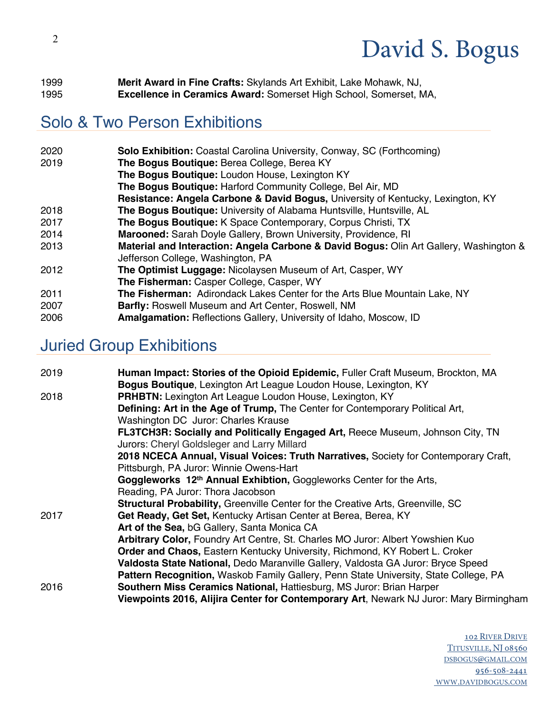| 1999 | Merit Award in Fine Crafts: Skylands Art Exhibit, Lake Mohawk, NJ,       |
|------|--------------------------------------------------------------------------|
| 1995 | <b>Excellence in Ceramics Award:</b> Somerset High School, Somerset, MA, |

### Solo & Two Person Exhibitions

| 2020 | <b>Solo Exhibition:</b> Coastal Carolina University, Conway, SC (Forthcoming)                                               |
|------|-----------------------------------------------------------------------------------------------------------------------------|
| 2019 | The Bogus Boutique: Berea College, Berea KY                                                                                 |
|      | The Bogus Boutique: Loudon House, Lexington KY                                                                              |
|      | The Bogus Boutique: Harford Community College, Bel Air, MD                                                                  |
|      | Resistance: Angela Carbone & David Bogus, University of Kentucky, Lexington, KY                                             |
| 2018 | The Bogus Boutique: University of Alabama Huntsville, Huntsville, AL                                                        |
| 2017 | The Bogus Boutique: K Space Contemporary, Corpus Christi, TX                                                                |
| 2014 | Marooned: Sarah Doyle Gallery, Brown University, Providence, RI                                                             |
| 2013 | Material and Interaction: Angela Carbone & David Bogus: Olin Art Gallery, Washington &<br>Jefferson College, Washington, PA |
| 2012 | The Optimist Luggage: Nicolaysen Museum of Art, Casper, WY                                                                  |
|      | The Fisherman: Casper College, Casper, WY                                                                                   |
| 2011 | The Fisherman: Adirondack Lakes Center for the Arts Blue Mountain Lake, NY                                                  |
| 2007 | Barfly: Roswell Museum and Art Center, Roswell, NM                                                                          |
| 2006 | Amalgamation: Reflections Gallery, University of Idaho, Moscow, ID                                                          |

### Juried Group Exhibitions

| 2019 | Human Impact: Stories of the Opioid Epidemic, Fuller Craft Museum, Brockton, MA        |
|------|----------------------------------------------------------------------------------------|
|      | Bogus Boutique, Lexington Art League Loudon House, Lexington, KY                       |
| 2018 | <b>PRHBTN:</b> Lexington Art League Loudon House, Lexington, KY                        |
|      | Defining: Art in the Age of Trump, The Center for Contemporary Political Art,          |
|      | Washington DC Juror: Charles Krause                                                    |
|      | FL3TCH3R: Socially and Politically Engaged Art, Reece Museum, Johnson City, TN         |
|      | Jurors: Cheryl Goldsleger and Larry Millard                                            |
|      | 2018 NCECA Annual, Visual Voices: Truth Narratives, Society for Contemporary Craft,    |
|      | Pittsburgh, PA Juror: Winnie Owens-Hart                                                |
|      | Goggleworks 12th Annual Exhibtion, Goggleworks Center for the Arts,                    |
|      | Reading, PA Juror: Thora Jacobson                                                      |
|      | <b>Structural Probability, Greenville Center for the Creative Arts, Greenville, SC</b> |
| 2017 | Get Ready, Get Set, Kentucky Artisan Center at Berea, Berea, KY                        |
|      | Art of the Sea, bG Gallery, Santa Monica CA                                            |
|      | Arbitrary Color, Foundry Art Centre, St. Charles MO Juror: Albert Yowshien Kuo         |
|      | <b>Order and Chaos, Eastern Kentucky University, Richmond, KY Robert L. Croker</b>     |
|      | Valdosta State National, Dedo Maranville Gallery, Valdosta GA Juror: Bryce Speed       |
|      | Pattern Recognition, Waskob Family Gallery, Penn State University, State College, PA   |
| 2016 | Southern Miss Ceramics National, Hattiesburg, MS Juror: Brian Harper                   |
|      | Viewpoints 2016, Alijira Center for Contemporary Art, Newark NJ Juror: Mary Birmingham |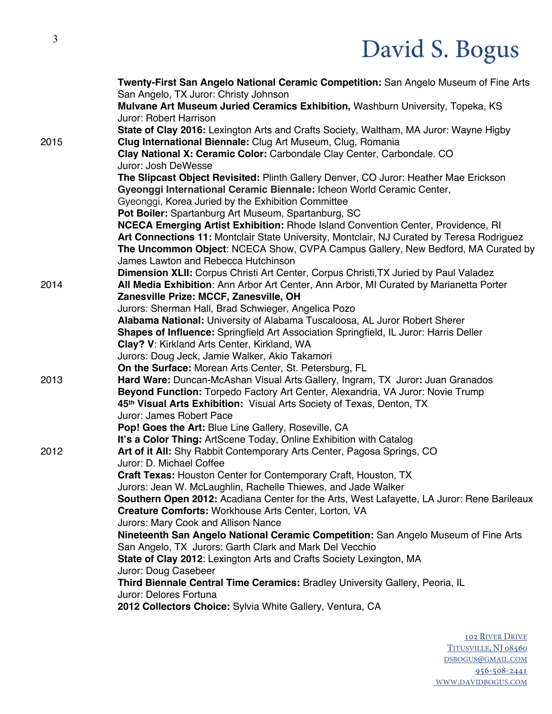|      | Twenty-First San Angelo National Ceramic Competition: San Angelo Museum of Fine Arts              |
|------|---------------------------------------------------------------------------------------------------|
|      | San Angelo, TX Juror: Christy Johnson                                                             |
|      | Mulvane Art Museum Juried Ceramics Exhibition, Washburn University, Topeka, KS                    |
|      | Juror: Robert Harrison                                                                            |
|      | State of Clay 2016: Lexington Arts and Crafts Society, Waltham, MA Juror: Wayne Higby             |
| 2015 | Clug International Biennale: Clug Art Museum, Clug, Romania                                       |
|      | Clay National X: Ceramic Color: Carbondale Clay Center, Carbondale. CO                            |
|      | Juror: Josh DeWesse                                                                               |
|      | The Slipcast Object Revisited: Plinth Gallery Denver, CO Juror: Heather Mae Erickson              |
|      | Gyeonggi International Ceramic Biennale: Icheon World Ceramic Center,                             |
|      | Gyeonggi, Korea Juried by the Exhibition Committee                                                |
|      | Pot Boiler: Spartanburg Art Museum, Spartanburg, SC                                               |
|      | NCECA Emerging Artist Exhibition: Rhode Island Convention Center, Providence, RI                  |
|      | Art Connections 11: Montclair State University, Montclair, NJ Curated by Teresa Rodriguez         |
|      | The Uncommon Object: NCECA Show, CVPA Campus Gallery, New Bedford, MA Curated by                  |
|      | James Lawton and Rebecca Hutchinson                                                               |
|      | Dimension XLII: Corpus Christi Art Center, Corpus Christi, TX Juried by Paul Valadez              |
| 2014 | All Media Exhibition: Ann Arbor Art Center, Ann Arbor, MI Curated by Marianetta Porter            |
|      | Zanesville Prize: MCCF, Zanesville, OH                                                            |
|      | Jurors: Sherman Hall, Brad Schwieger, Angelica Pozo                                               |
|      | Alabama National: University of Alabama Tuscaloosa, AL Juror Robert Sherer                        |
|      | Shapes of Influence: Springfield Art Association Springfield, IL Juror: Harris Deller             |
|      | Clay? V: Kirkland Arts Center, Kirkland, WA                                                       |
|      | Jurors: Doug Jeck, Jamie Walker, Akio Takamori                                                    |
|      | On the Surface: Morean Arts Center, St. Petersburg, FL                                            |
| 2013 | Hard Ware: Duncan-McAshan Visual Arts Gallery, Ingram, TX Juror: Juan Granados                    |
|      | Beyond Function: Torpedo Factory Art Center, Alexandria, VA Juror: Novie Trump                    |
|      | 45th Visual Arts Exhibition: Visual Arts Society of Texas, Denton, TX<br>Juror: James Robert Pace |
|      | Pop! Goes the Art: Blue Line Gallery, Roseville, CA                                               |
|      | It's a Color Thing: ArtScene Today, Online Exhibition with Catalog                                |
| 2012 | Art of it All: Shy Rabbit Contemporary Arts Center, Pagosa Springs, CO                            |
|      | Juror: D. Michael Coffee                                                                          |
|      | Craft Texas: Houston Center for Contemporary Craft, Houston, TX                                   |
|      | Jurors: Jean W. McLaughlin, Rachelle Thiewes, and Jade Walker                                     |
|      | Southern Open 2012: Acadiana Center for the Arts, West Lafayette, LA Juror: Rene Barileaux        |
|      | Creature Comforts: Workhouse Arts Center, Lorton, VA                                              |
|      | Jurors: Mary Cook and Allison Nance                                                               |
|      | Nineteenth San Angelo National Ceramic Competition: San Angelo Museum of Fine Arts                |
|      | San Angelo, TX Jurors: Garth Clark and Mark Del Vecchio                                           |
|      | State of Clay 2012: Lexington Arts and Crafts Society Lexington, MA                               |
|      | Juror: Doug Casebeer                                                                              |
|      | Third Biennale Central Time Ceramics: Bradley University Gallery, Peoria, IL                      |
|      | Juror: Delores Fortuna                                                                            |
|      | 2012 Collectors Choice: Sylvia White Gallery, Ventura, CA                                         |
|      |                                                                                                   |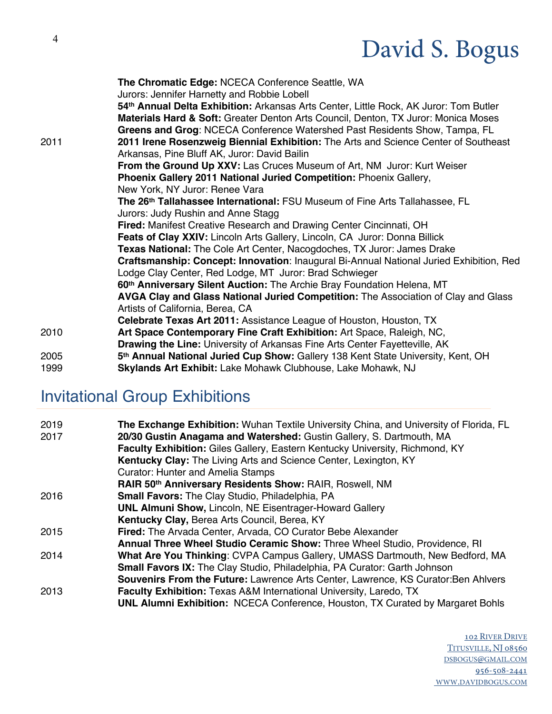|      | The Chromatic Edge: NCECA Conference Seattle, WA<br>Jurors: Jennifer Harnetty and Robbie Lobell                                                                   |
|------|-------------------------------------------------------------------------------------------------------------------------------------------------------------------|
|      | 54th Annual Delta Exhibition: Arkansas Arts Center, Little Rock, AK Juror: Tom Butler                                                                             |
|      |                                                                                                                                                                   |
|      | Materials Hard & Soft: Greater Denton Arts Council, Denton, TX Juror: Monica Moses                                                                                |
| 2011 | Greens and Grog: NCECA Conference Watershed Past Residents Show, Tampa, FL<br>2011 Irene Rosenzweig Biennial Exhibition: The Arts and Science Center of Southeast |
|      | Arkansas, Pine Bluff AK, Juror: David Bailin                                                                                                                      |
|      | From the Ground Up XXV: Las Cruces Museum of Art, NM Juror: Kurt Weiser                                                                                           |
|      | Phoenix Gallery 2011 National Juried Competition: Phoenix Gallery,                                                                                                |
|      | New York, NY Juror: Renee Vara                                                                                                                                    |
|      | The 26 <sup>th</sup> Tallahassee International: FSU Museum of Fine Arts Tallahassee, FL                                                                           |
|      | Jurors: Judy Rushin and Anne Stagg                                                                                                                                |
|      | Fired: Manifest Creative Research and Drawing Center Cincinnati, OH                                                                                               |
|      | Feats of Clay XXIV: Lincoln Arts Gallery, Lincoln, CA Juror: Donna Billick                                                                                        |
|      | <b>Texas National:</b> The Cole Art Center, Nacogdoches, TX Juror: James Drake                                                                                    |
|      | Craftsmanship: Concept: Innovation: Inaugural Bi-Annual National Juried Exhibition, Red                                                                           |
|      | Lodge Clay Center, Red Lodge, MT Juror: Brad Schwieger                                                                                                            |
|      | 60th Anniversary Silent Auction: The Archie Bray Foundation Helena, MT                                                                                            |
|      | <b>AVGA Clay and Glass National Juried Competition:</b> The Association of Clay and Glass                                                                         |
|      | Artists of California, Berea, CA                                                                                                                                  |
|      |                                                                                                                                                                   |
| 2010 | Art Space Contemporary Fine Craft Exhibition: Art Space, Raleigh, NC,                                                                                             |
|      | <b>Drawing the Line: University of Arkansas Fine Arts Center Fayetteville, AK</b>                                                                                 |
| 2005 | 5 <sup>th</sup> Annual National Juried Cup Show: Gallery 138 Kent State University, Kent, OH                                                                      |
|      | <b>Celebrate Texas Art 2011: Assistance League of Houston, Houston, TX</b>                                                                                        |

1999 **Skylands Art Exhibit:** Lake Mohawk Clubhouse, Lake Mohawk, NJ

### Invitational Group Exhibitions

| 2019<br>2017 | The Exchange Exhibition: Wuhan Textile University China, and University of Florida, FL<br>20/30 Gustin Anagama and Watershed: Gustin Gallery, S. Dartmouth, MA<br>Faculty Exhibition: Giles Gallery, Eastern Kentucky University, Richmond, KY<br>Kentucky Clay: The Living Arts and Science Center, Lexington, KY<br><b>Curator: Hunter and Amelia Stamps</b> |
|--------------|----------------------------------------------------------------------------------------------------------------------------------------------------------------------------------------------------------------------------------------------------------------------------------------------------------------------------------------------------------------|
|              | RAIR 50th Anniversary Residents Show: RAIR, Roswell, NM                                                                                                                                                                                                                                                                                                        |
| 2016         | <b>Small Favors:</b> The Clay Studio, Philadelphia, PA                                                                                                                                                                                                                                                                                                         |
|              | <b>UNL Almuni Show, Lincoln, NE Eisentrager-Howard Gallery</b>                                                                                                                                                                                                                                                                                                 |
|              | Kentucky Clay, Berea Arts Council, Berea, KY                                                                                                                                                                                                                                                                                                                   |
| 2015         | Fired: The Arvada Center, Arvada, CO Curator Bebe Alexander                                                                                                                                                                                                                                                                                                    |
|              | Annual Three Wheel Studio Ceramic Show: Three Wheel Studio, Providence, RI                                                                                                                                                                                                                                                                                     |
| 2014         | What Are You Thinking: CVPA Campus Gallery, UMASS Dartmouth, New Bedford, MA                                                                                                                                                                                                                                                                                   |
|              | <b>Small Favors IX:</b> The Clay Studio, Philadelphia, PA Curator: Garth Johnson                                                                                                                                                                                                                                                                               |
|              | <b>Souvenirs From the Future: Lawrence Arts Center, Lawrence, KS Curator: Ben Ahlvers</b>                                                                                                                                                                                                                                                                      |
| 2013         | <b>Faculty Exhibition:</b> Texas A&M International University, Laredo, TX                                                                                                                                                                                                                                                                                      |
|              | <b>UNL Alumni Exhibition:</b> NCECA Conference, Houston, TX Curated by Margaret Bohls                                                                                                                                                                                                                                                                          |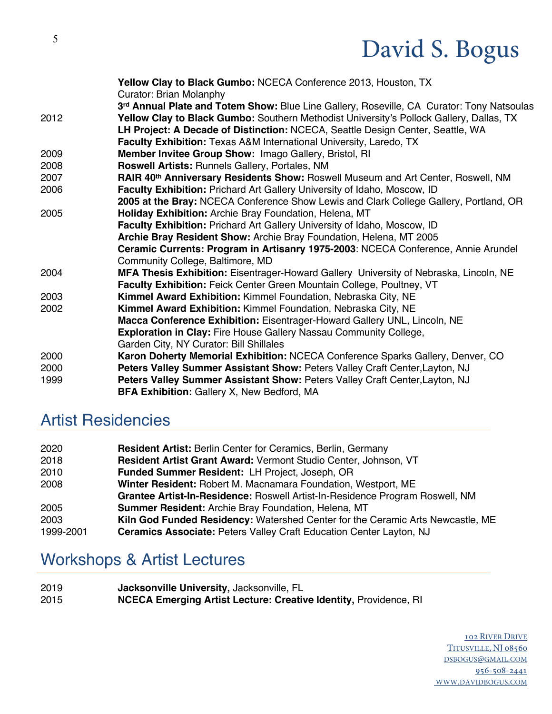| Yellow Clay to Black Gumbo: NCECA Conference 2013, Houston, TX<br>Curator: Brian Molanphy |
|-------------------------------------------------------------------------------------------|
| 3rd Annual Plate and Totem Show: Blue Line Gallery, Roseville, CA Curator: Tony Natsoulas |
| Yellow Clay to Black Gumbo: Southern Methodist University's Pollock Gallery, Dallas, TX   |
| LH Project: A Decade of Distinction: NCECA, Seattle Design Center, Seattle, WA            |
| Faculty Exhibition: Texas A&M International University, Laredo, TX                        |
| Member Invitee Group Show: Imago Gallery, Bristol, RI                                     |
| Roswell Artists: Runnels Gallery, Portales, NM                                            |
| RAIR 40th Anniversary Residents Show: Roswell Museum and Art Center, Roswell, NM          |
| Faculty Exhibition: Prichard Art Gallery University of Idaho, Moscow, ID                  |
| 2005 at the Bray: NCECA Conference Show Lewis and Clark College Gallery, Portland, OR     |
| Holiday Exhibition: Archie Bray Foundation, Helena, MT                                    |
| Faculty Exhibition: Prichard Art Gallery University of Idaho, Moscow, ID                  |
| Archie Bray Resident Show: Archie Bray Foundation, Helena, MT 2005                        |
| Ceramic Currents: Program in Artisanry 1975-2003: NCECA Conference, Annie Arundel         |
| Community College, Baltimore, MD                                                          |
| MFA Thesis Exhibition: Eisentrager-Howard Gallery University of Nebraska, Lincoln, NE     |
| Faculty Exhibition: Feick Center Green Mountain College, Poultney, VT                     |
| Kimmel Award Exhibition: Kimmel Foundation, Nebraska City, NE                             |
| Kimmel Award Exhibition: Kimmel Foundation, Nebraska City, NE                             |
| Macca Conference Exhibition: Eisentrager-Howard Gallery UNL, Lincoln, NE                  |
| Exploration in Clay: Fire House Gallery Nassau Community College,                         |
| Garden City, NY Curator: Bill Shillales                                                   |
| Karon Doherty Memorial Exhibition: NCECA Conference Sparks Gallery, Denver, CO            |
| Peters Valley Summer Assistant Show: Peters Valley Craft Center, Layton, NJ               |
| Peters Valley Summer Assistant Show: Peters Valley Craft Center, Layton, NJ               |
| <b>BFA Exhibition: Gallery X, New Bedford, MA</b>                                         |
|                                                                                           |

### Artist Residencies

| 2020      | <b>Resident Artist: Berlin Center for Ceramics, Berlin, Germany</b>            |
|-----------|--------------------------------------------------------------------------------|
| 2018      | Resident Artist Grant Award: Vermont Studio Center, Johnson, VT                |
| 2010      | Funded Summer Resident: LH Project, Joseph, OR                                 |
| 2008      | Winter Resident: Robert M. Macnamara Foundation, Westport, ME                  |
|           | Grantee Artist-In-Residence: Roswell Artist-In-Residence Program Roswell, NM   |
| 2005      | <b>Summer Resident: Archie Bray Foundation, Helena, MT</b>                     |
| 2003      | Kiln God Funded Residency: Watershed Center for the Ceramic Arts Newcastle, ME |
| 1999-2001 | <b>Ceramics Associate: Peters Valley Craft Education Center Layton, NJ</b>     |

### Workshops & Artist Lectures

2019 **Jacksonville University,** Jacksonville, FL 2015 **NCECA Emerging Artist Lecture: Creative Identity,** Providence, RI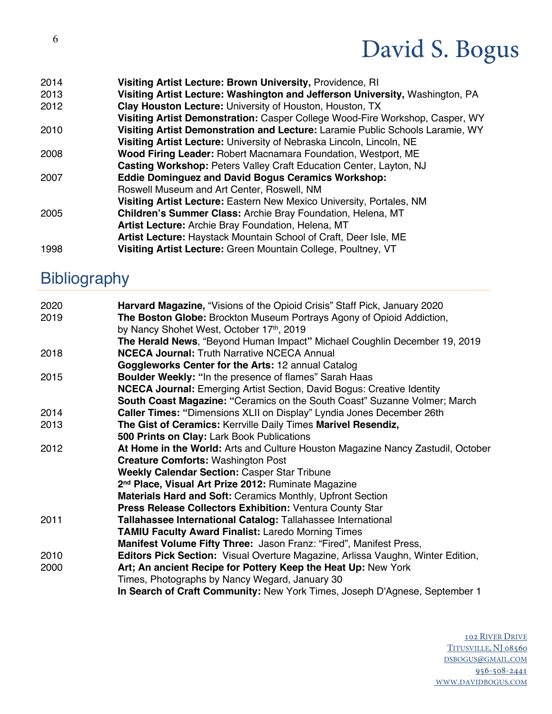2014 **Visiting Artist Lecture: Brown University,** Providence, RI 2013 **Visiting Artist Lecture: Washington and Jefferson University,** Washington, PA 2012 **Clay Houston Lecture:** University of Houston, Houston, TX **Visiting Artist Demonstration:** Casper College Wood-Fire Workshop, Casper, WY 2010 **Visiting Artist Demonstration and Lecture:** Laramie Public Schools Laramie, WY **Visiting Artist Lecture:** University of Nebraska Lincoln, Lincoln, NE 2008 **Wood Firing Leader:** Robert Macnamara Foundation, Westport, ME **Casting Workshop:** Peters Valley Craft Education Center, Layton, NJ 2007 **Eddie Dominguez and David Bogus Ceramics Workshop:** Roswell Museum and Art Center, Roswell, NM **Visiting Artist Lecture:** Eastern New Mexico University, Portales, NM 2005 **Children's Summer Class:** Archie Bray Foundation, Helena, MT **Artist Lecture:** Archie Bray Foundation, Helena, MT **Artist Lecture:** Haystack Mountain School of Craft, Deer Isle, ME 1998 **Visiting Artist Lecture:** Green Mountain College, Poultney, VT

### **Bibliography**

| 2020 | Harvard Magazine, "Visions of the Opioid Crisis" Staff Pick, January 2020       |
|------|---------------------------------------------------------------------------------|
| 2019 | The Boston Globe: Brockton Museum Portrays Agony of Opioid Addiction,           |
|      | by Nancy Shohet West, October 17th, 2019                                        |
|      | The Herald News, "Beyond Human Impact" Michael Coughlin December 19, 2019       |
| 2018 | <b>NCECA Journal: Truth Narrative NCECA Annual</b>                              |
|      | Goggleworks Center for the Arts: 12 annual Catalog                              |
| 2015 | <b>Boulder Weekly: "In the presence of flames" Sarah Haas</b>                   |
|      | <b>NCECA Journal:</b> Emerging Artist Section, David Bogus: Creative Identity   |
|      | South Coast Magazine: "Ceramics on the South Coast" Suzanne Volmer; March       |
| 2014 | <b>Caller Times: "Dimensions XLII on Display" Lyndia Jones December 26th</b>    |
| 2013 | The Gist of Ceramics: Kerrville Daily Times Marivel Resendiz,                   |
|      | 500 Prints on Clay: Lark Book Publications                                      |
| 2012 | At Home in the World: Arts and Culture Houston Magazine Nancy Zastudil, October |
|      | <b>Creature Comforts: Washington Post</b>                                       |
|      | <b>Weekly Calendar Section: Casper Star Tribune</b>                             |
|      | 2 <sup>nd</sup> Place, Visual Art Prize 2012: Ruminate Magazine                 |
|      | Materials Hard and Soft: Ceramics Monthly, Upfront Section                      |
|      | <b>Press Release Collectors Exhibition: Ventura County Star</b>                 |
| 2011 | Tallahassee International Catalog: Tallahassee International                    |
|      | <b>TAMIU Faculty Award Finalist: Laredo Morning Times</b>                       |
|      | Manifest Volume Fifty Three: Jason Franz: "Fired", Manifest Press,              |
| 2010 | Editors Pick Section: Visual Overture Magazine, Arlissa Vaughn, Winter Edition, |
| 2000 | Art; An ancient Recipe for Pottery Keep the Heat Up: New York                   |
|      | Times, Photographs by Nancy Wegard, January 30                                  |
|      | In Search of Craft Community: New York Times, Joseph D'Agnese, September 1      |